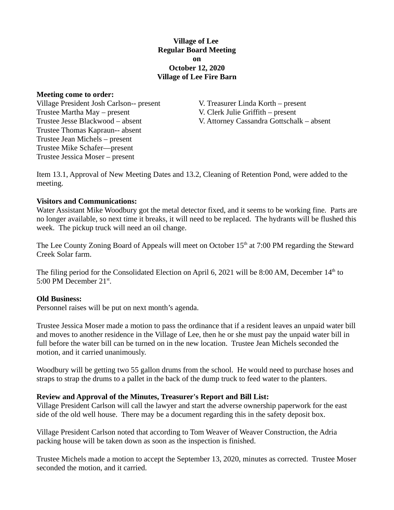### **Village of Lee Regular Board Meeting on October 12, 2020 Village of Lee Fire Barn**

#### **Meeting come to order:**

Village President Josh Carlson-- present V. Treasurer Linda Korth – present Trustee Martha May – present V. Clerk Julie Griffith – present Trustee Thomas Kapraun-- absent Trustee Jean Michels – present Trustee Mike Schafer—present Trustee Jessica Moser – present

Trustee Jesse Blackwood – absent V. Attorney Cassandra Gottschalk – absent

Item 13.1, Approval of New Meeting Dates and 13.2, Cleaning of Retention Pond, were added to the meeting.

### **Visitors and Communications:**

Water Assistant Mike Woodbury got the metal detector fixed, and it seems to be working fine. Parts are no longer available, so next time it breaks, it will need to be replaced. The hydrants will be flushed this week. The pickup truck will need an oil change.

The Lee County Zoning Board of Appeals will meet on October 15<sup>th</sup> at 7:00 PM regarding the Steward Creek Solar farm.

The filing period for the Consolidated Election on April 6, 2021 will be 8:00 AM, December  $14<sup>th</sup>$  to 5:00 PM December  $21^{st}$ .

### **Old Business:**

Personnel raises will be put on next month's agenda.

Trustee Jessica Moser made a motion to pass the ordinance that if a resident leaves an unpaid water bill and moves to another residence in the Village of Lee, then he or she must pay the unpaid water bill in full before the water bill can be turned on in the new location. Trustee Jean Michels seconded the motion, and it carried unanimously.

Woodbury will be getting two 55 gallon drums from the school. He would need to purchase hoses and straps to strap the drums to a pallet in the back of the dump truck to feed water to the planters.

# **Review and Approval of the Minutes, Treasurer's Report and Bill List:**

Village President Carlson will call the lawyer and start the adverse ownership paperwork for the east side of the old well house. There may be a document regarding this in the safety deposit box.

Village President Carlson noted that according to Tom Weaver of Weaver Construction, the Adria packing house will be taken down as soon as the inspection is finished.

Trustee Michels made a motion to accept the September 13, 2020, minutes as corrected. Trustee Moser seconded the motion, and it carried.